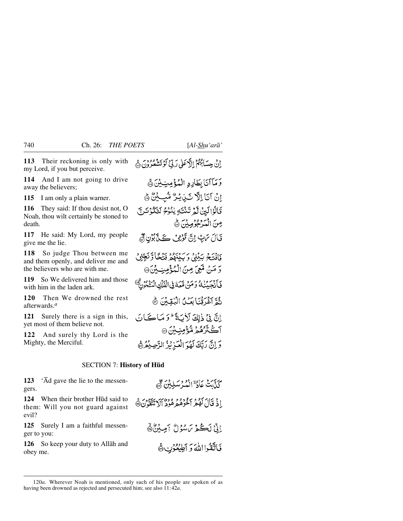**113** Their reckoning is only with my Lord, if you but perceive.

**114** And I am not going to drive away the believers;

**115** I am only a plain warner.

**116** They said: If thou desist not, O Noah, thou wilt certainly be stoned to death.

**117** He said: My Lord, my people give me the lie.

**118** So judge Thou between me and them openly, and deliver me and the believers who are with me.

**119** So We delivered him and those with him in the laden ark.

**120** Then We drowned the rest afterwards.*<sup>a</sup>*

**121** Surely there is a sign in this, yet most of them believe not.

**122** And surely thy Lord is the Mighty, the Merciful.

إِنْ حِسَابُهُمْ إِلَّا عَلَى رَبِّيْ لَوْ تَشْعُرُونَ ۞

- وَمَآآتَابِطَارِدِ الْمُؤْمِنِيِّنَ ﴾ إِنْ آيَا إِلَهِ نَبْنِ يُرُّ مُّبِيَّنٌ ﴾ ْ فَالْوَالَيِنْ لَّمْ تَنْتَهِ يٰنُوْمُ لَتَكُوْنَنَّ مِنَ الْمَدْجُوْمِينَ ١ قَالَ مَنِ إِنَّ تَوْفِى كَلَّ بُوْنِ مَنَّ دَافِيَةً جَهْدَيْنَ وَسَيَنْهُمْ فَيَتَّحَاوَيَجَّادُي وَ مَنْ مُنْعَىَ مِنَ الْمُؤْمِنِ بِيْنَ @ فَبَالْجَبَيْنِكُ وَمَنْ مَّعَهُ فِي الْفُلْكِ الْمَنْعُونَ ۗ
	- ثُمَّ آغَرَقْنَابِعَـٰنُ الْبُقِينَ ﴾
- إِنَّ فِي ذٰلِكَ لَأَيَةً ۖ وَ مَاكَيَانَ آڪٽُرُهُمَ مُّؤْمِنِ بِنَ ۞ وَ إِنَّ رَبَّكَ لَهُوَ الْعَيْرِنْهُ الرَّحِيدُهُمْ

## SECTION 7: **History of H∂d**

**123** 'Åd gave the lie to the messengers.

**124** When their brother Hūd said to them: Will you not guard against evil?

**125** Surely I am a faithful messenger to you:

**126** So keep your duty to Allåh and obey me.

كَنَّامَةُ عَادَةٌ الْمُدْسَلِينَ ﴾ اذْ قَالَ كَفَرْ مَعْمُوهُ هُ هُودُ أَلَا تَتَّقَّدُنَّ@ إِنِّ لَكُمْ مَسْوَلُ أَمِيْنُ ﴾ فَاتَقْوا اللّهَ وَ اَطِيْعُوْنِ هَ

<sup>120</sup>*a.* Wherever Noah is mentioned, only such of his people are spoken of as having been drowned as rejected and persecuted him; see also 11:42*a*.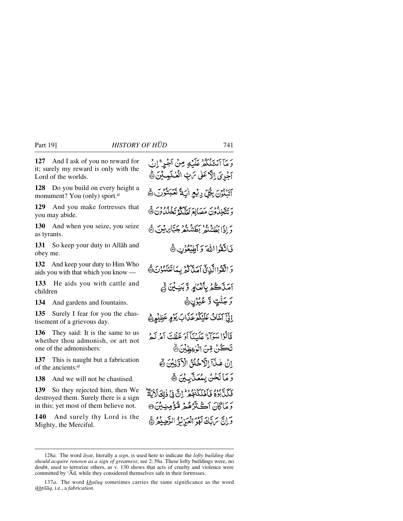**127** And I ask of you no reward for it; surely my reward is only with the Lord of the worlds.

**128** Do you build on every height a monument? You (only) sport.*<sup>a</sup>*

**129** And you make fortresses that you may abide.

**130** And when you seize, you seize as tyrants.

**131** So keep your duty to Allåh and obey me.

**132** And keep your duty to Him Who aids you with that which you know —

**133** He aids you with cattle and children

**134** And gardens and fountains.

**135** Surely I fear for you the chastisement of a grievous day.

**136** They said: It is the same to us whether thou admonish, or art not one of the admonishers:

**137** This is naught but a fabrication of the ancients:*<sup>a</sup>*

**138** And we will not be chastised.

**139** So they rejected him, then We destroyed them. Surely there is a sign in this; yet most of them believe not.

**140** And surely thy Lord is the Mighty, the Merciful.

يَ مَآ ٱسْتَلَكَّدُ عَلَيْهِ مِنْ أَجْرِ ۚ إِنْ آجُرِيَ إِلَّا عَلَىٰ مَ بِّ الْعُلَيْمِيْنَ ﴾ آتَنْدُوْنَ بِكُلِّ رِيْجِ آيَةً تَعْبَنُوْتَ هَ وَتَتَّخِذُونَ مَصَانِعَ لَعَلَّكُمُ تَخْلُدُونَ ۞ وَإِذَا بَطَشْنَهُ بِطَشْنَهُ جَبَّابِرِيْنَ ﴾ فَاتَقْوَا اللهَ وَ أَطِيْعُوْنِ ﴾ وَاتَقَوْاالَّذِيَّ آَمَدَّا كُمُّ بِمَاتَعْلَمُوْنَ ﴾ أَمَلَّاكُمُ بِأَنْعَامٍ وَّبَنِ بِنَ ثَمَّ كَرْ جَنّْتٍ وَّ عُيُوْنٍ﴾ إِنِّيَّ آخَافُ عَلَيْكُمْ عَذَابَ يَوْمٍ عَظِيْمِ هَمْ قَالُوْا سَوَاءٌ عَلَيْنَآ أَوَ عَظُتَ أَمْرِ لَهِمْ تَكُنْ مِّنَ الْزْعِظِيْنَ۞ إِنْ هٰذَآ اِلْأَحْلُقُ الْأَوَّلِيْنَ هُ رَ مَا نَحْنُ بِمُعَنَّابِيْنَ ﴾ فَكَذَّبُوْهُ فَأَهْلَكُمْهُمْ إِنَّ فِي ذٰلِكَ لَأَيَّةٌ دَ مَاڳَانَ آڪَ تَرُهُمْ مُنْ قُومِينِ بِنَ ۞ وَإِنَّ يَرَبَّكَ لَهُوَ الْعَزْنَزُ الرَّحِيْمُ ﴾

<sup>128</sup>*a.* The word *åyat*, literally a *sign*, is used here to indicate the *lofty building that should acquire renown as a sign of greatness*; see 2:39*a*. These lofty buildings were, no doubt, used to terrorize others, as v. 130 shows that acts of cruelty and violence were committed by 'Åd, while they considered themselves safe in their fortresses.

<sup>137</sup>*a.* The word *khuluq* sometimes carries the same significance as the word *ikhtilåq*, i.e., a *fabrication*.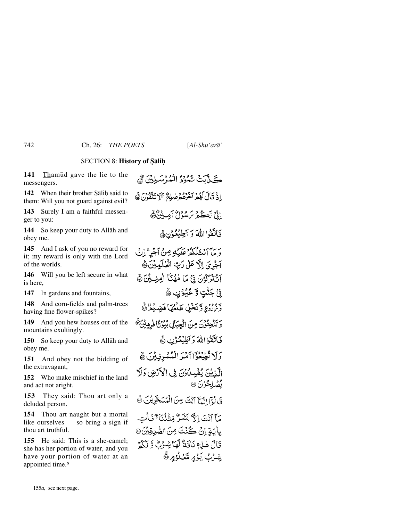## SECTION 8: **History of Salih**

**141** Tham∂d gave the lie to the messengers.

**142** When their brother Salih said to them: Will you not guard against evil?

**143** Surely I am a faithful messenger to you:

**144** So keep your duty to Allåh and obey me.

**145** And I ask of you no reward for it; my reward is only with the Lord of the worlds.

**146** Will you be left secure in what is here,

**147** In gardens and fountains,

**148** And corn-fields and palm-trees having fine flower-spikes?

**149** And you hew houses out of the mountains exultingly.

**150** So keep your duty to Allåh and obey me.

**151** And obey not the bidding of the extravagant,

**152** Who make mischief in the land and act not aright.

**153** They said: Thou art only a deluded person.

**154** Thou art naught but a mortal like ourselves — so bring a sign if thou art truthful.

**155** He said: This is a she-camel; she has her portion of water, and you have your portion of water at an appointed time.*<sup>a</sup>*

ڪ په سنڌي ڇوهو اقشي مئيان ٿي إِذْ قَالَ لَهُمْ آخُرُهُمْ صٰلِحٌ ٱلْاتَتَقُونَ ﴾ إِذْيَ لَڪُمْ يَرْسُوْلُ أَمِينُنَّ ﴾ فَاتَقَوْا اللَّهَ وَ أَطِيْعُوْنِ ﴾ دَ مَآ ٱسْتَلَكَّهُۥْ عَلَيۡكِ مِنۡ ٱجۡرٌ ۚ إِنۡ آجَرِيَ إِلَّ عَلَىٰ رَبِّ الْعُلْمِينَ هَ أَتْنَزَّكُونَ فِي مَا هُهُنَّا أُمِنِيَّيْنَ ۞ نِيٌ جَٽْتٍ وَّ عُيُوُنٍ ﴾ وَنَرْزُعٍ وَّيَخْلِ طَلْعُهَا هَضِيْعُرُثَّ وَتَنْحِتُوْنَ مِنَ الْجِبَالِ بُيُوْتًا فَرِهِيْنَ ﴾ فَأَتَقَوْااللَّهَ دَ أَطِيعُونِ ۞ وَلَا تُطِيعُوْٓا أَمْرَ الْمُسْدِفِينَ ۞ الَّذِيْنَ يُفْسِدُوْنَ فِي الْأَرْضِ وَلَا فضل محود بن 90 وَبَالَوْمَ اتَّبَامَ آَنْتَ مِنَ الْمُسَحَّرِيْنَ ثَ مَآَ أَنْتَ إِلَّا بَشَرٌ مِّثْلُنَاً ۚ فَأَت بِأَيَةِ إِنْ كُنْتَ مِنَ الصّْدِقِيْنَ@ قَالَ هٰذِهِ نَاقَةٌ لَّمَا شِنْرُنَّ وَّ لَكُمْ يشاث يَوْمِرةَ شَادُ مِرْرَةَ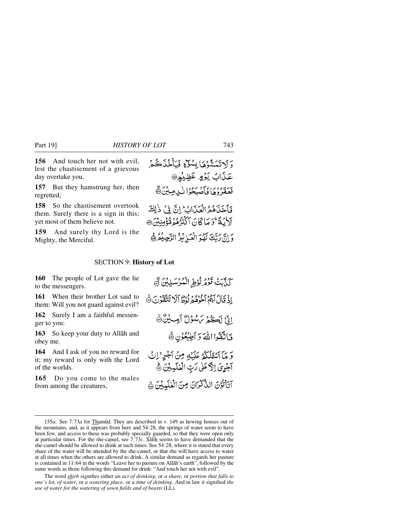**156** And touch her not with evil, lest the chastisement of a grievous day overtake you.

**157** But they hamstrung her, then regretted,

**158** So the chastisement overtook them. Surely there is a sign in this; yet most of them believe not.

**159** And surely thy Lord is the Mighty, the Merciful.

### SECTION 9: **History of Lot**

**160** The people of Lot gave the lie to the messengers.

**161** When their brother Lot said to them: Will you not guard against evil?

**162** Surely I am a faithful messenger to you:

**163** So keep your duty to Allåh and obey me.

**164** And I ask of you no reward for it; my reward is only with the Lord of the worlds.

**165** Do you come to the males from among the creatures,

رَ لَاتَمَسَّوْهَا بِسُنَّةٍ فَيَأْخُذَكُمْ عَذَابُ يَوۡهِ عَظِيۡهِ۞ بَيْعَةَ وَمَا فَأَصْبَحُوْا لِّي مِينَ ﴾ فَأَخَذَهُمُ الْعَذَابُ إِنَّ فِي ذَٰلِكَ لَأَنَةً تُوَمَّاً كَانَ آَكْنُزُهُمْ مُّؤْمِنِيْنَ@ وَإِنَّ رَبَّكَ لَهُوَ الْعَبْرِ بُنُّ الرَّحِيْفُرُ هَ

# كَنَّابَتْ تَوْمُرْلُوْطِ الْمُرْسَلِيْنَ تَجْ إِذْ قَالَ لَهُمْ أَخْرُهُمْ لَوُطًا أَلَا تَتَقَرُّنَ ١٥ إِنِّ لَكُمْ يَسْؤُلُّ أَصِيْنٌ فَاتَقْوَا اللَّهَ وَ أَطِيْعُوْنِ ﴾ وَ مَآ ٱنظَلَٰكُمۡ عَلَيۡتِهِ مِنۡ ٱجۡلِهِ ۚ إِنۡ آَجُرِيَ إِلَّا عَلَىٰ رَبِّ الْعٰلَيْلِينَ ﴾ آتَأْتُوْنَ النَّكْرَانَ مِنَ الْعٰلَيِيْنَ ﴾

The word *shirb* signifies either *an act of drinking*, or *a share*, or *portion that falls to one's lot, of water*, or *a watering place*, or *a time of drinking*. And in law it signified *the use of water for the watering of sown fields and of beasts* (LL).

<sup>155</sup>*a.* See 7:73*a* for Tham∂d. They are described in v. 149 as hewing houses out of the mountains, and, as it appears from here and 54:28, the springs of water seem to have been few, and access to these was probably specially guarded, so that they were open only at particular times. For the she-camel, see 7:73*c*. Şalih seems to have demanded that the she-camel should be allowed to drink at such times. See 54:28, where it is stated that every share of the water will be attended by the she-camel, or that she will have access to water at all times when the others are allowed to drink. A similar demand as regards her pasture is contained in 11:64 in the words "Leave her to pasture on Allåh's earth", followed by the same words as those following this demand for drink: "And touch her not with evil".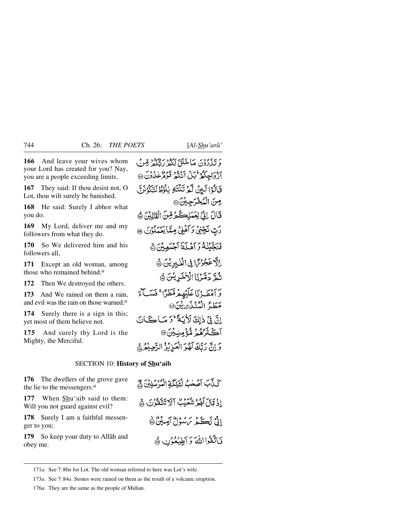**166** And leave your wives whom your Lord has created for you? Nay, you are a people exceeding limits.

**167** They said: If thou desist not, O Lot, thou wilt surely be banished.

**168** He said: Surely I abhor what you do.

**169** My Lord, deliver me and my followers from what they do.

**170** So We delivered him and his followers all,

**171** Except an old woman, among those who remained behind.*<sup>a</sup>*

**172** Then We destroyed the others.

**173** And We rained on them a rain, and evil was the rain on those warned.*<sup>a</sup>*

**174** Surely there is a sign in this; yet most of them believe not.

**175** And surely thy Lord is the Mighty, the Merciful.

دَيْنَ دَوْنَ مَاخَلَقَ لَكُهُ رَبُّكُمْ قِبْنَ أَزْوَاجِكُمْ ثَبَلْ أَنْتُمْ قَوْمُ عَبْدُونَ ۞ فَالْوْالَيْنُ لَّمْ تَنْتَهُ يٰلُوُطُالَتَكُوْنَنَّ مِنَ الْمُخْرَجِينَ۞ قَالَ إِنِّيْ لِعَمَلِكُمْ قِنَ الْقَالِيْنَ ﴾ رَبّ نَجِّنِي وَأَهْلِيُ مِتَابَعُبَكُوْنَ ۞ فَنَجَّبْنَٰهُ وَ أَهْلَكَ أَجْبَعِبْنَ ۞ بِالْأَحْجُوْسَ فِي الْغُيْدِيْنَ ﴾ ثُمَّ دَمَّرْنَا الْأَخْرِيْنَ ﴾ دَ أَمْطَيْنَا عَلَيْهِهِ مُقَطَّرًا ۚ فَيَبَاءَ مَطَدُّ الْمُنْذَى بِيْنَ ۞ إِنَّ فِي ذٰلِكَ لَأَبَيَةً لَمُوَ مَبَاكَبَانَ آڭتَر*ْهُمْ* مُّؤْمِنِيْنَ® وَإِنَّ رَبَّكَ لَهُوَ الْعَزِيْزُ الرَّحِيْمُ

## SECTION 10: **History of Shu'aib**

**176** The dwellers of the grove gave the lie to the messengers.*<sup>a</sup>*

**177** When Shu'aib said to them: Will you not guard against evil?

**178** Surely I am a faithful messenger to you;

**179** So keep your duty to Allåh and obey me.

كَذَّبَ آصَحْبُ لَقَيْكَةِ الْمُرْسَلِيْنَ ﴾ اذْ قَالَ لَهُمْ شَعَبْتُ آلَا تَتَّقَدُّنَ ﴾ اذَّعْ أَڪْفِرْ بَرْمِيْنَ أَصِيْنَ ﴾ فَأَتَقَوْا اللَّهَ وَ أَطِيعُوْنِ ﴾

<sup>171</sup>*a.* See 7:80*a* for Lot. The old woman referred to here was Lot's wife.

<sup>173</sup>*a.* See 7:84*a*. Stones were rained on them as the result of a volcanic eruption.

<sup>176</sup>*a.* They are the same as the people of Midian.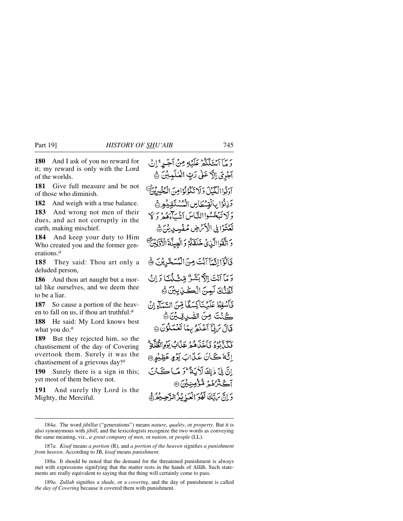**180** And I ask of you no reward for it; my reward is only with the Lord of the worlds.

**181** Give full measure and be not of those who diminish.

**182** And weigh with a true balance.

**183** And wrong not men of their dues, and act not corruptly in the earth, making mischief.

**184** And keep your duty to Him Who created you and the former generations.*<sup>a</sup>*

**185** They said: Thou art only a deluded person,

**186** And thou art naught but a mortal like ourselves, and we deem thee to be a liar.

**187** So cause a portion of the heaven to fall on us, if thou art truthful.*<sup>a</sup>*

**188** He said: My Lord knows best what you do.*<sup>a</sup>*

**189** But they rejected him, so the chastisement of the day of Covering overtook them. Surely it was the chastisement of a grievous day!*<sup>a</sup>*

**190** Surely there is a sign in this; yet most of them believe not.

**191** And surely thy Lord is the Mighty, the Merciful.

يُرِيَّ آَيْتَنَكَّكُمْ عَلَيْلِي مِنْ آَجْيِرْ ۚ إِنْ آخْرِيَ إِلَّا عَلَىٰ رَبِّ الْعَلَيِيْنَ ﴾ آدْ ذُاالْكُنْكَ وَلَا تَكْوُنُوْا مِنَ الْمُخْسِرِينٌ وَزِنُوْا بِالْقِسْطَاسِ الْمُسْتَقِيْمِهِ ﴾ وَ لَا تَبۡعَسُواالِّکَاسَ ٱتَّسَآءَهُمۡ رَ کَا تَعۡتَوۡۗا فِي الۡكِّرۡمِ صِٰهِ مِّفۡسِيِنِينَ ﴾ دَ اتَّقَوْاالَّذِي خَلَقَكُمْ وَالْعِبِلَّةَ الْأَدَّلِينَّ قَالَوْۤالِتَّبَآاَنَتَ مِنَ الْمُسَعَّرِيْنَ ﴾ وَمَآ آَنَتَ اِلَّ بَشَرٌ مِّثْ لَمَنَا رَانَ تَظُنُّكَ لَيِسَ الْكُنِّ بِيْنَ ﴾ فَأَسْقِطْ عَلَيْنَاكِسَفًا مِّنَ السَّيَاءِ إِنْ كُنْتَ مِنَ الصَّرِيقِيِّنَ ﴾ قَالَ يَٰ إِنَّ آَعُلَّهُ بِيِّنَا تَعْمَلُوْنَ @ فَيَكِيٌّ بِهُوْدٍ وَأَخَذَهُ هُوَ عَذَابٌ يَوْمِرَانِقُلَّلَةٌ اِنَّةُ كَانَ عَذَابَ يَوْمٍ عَظِيْمِ @ إِنَّ فِي ذٰ إِلَٰهَ لَأَيَةً ثُمَّ مَا كَتَانَ آڪٽر مُهُمَّ مُّؤْمِنِيْنَ® دَانَ بِرَبَّكَ لَهُوَ الْعَبْرِ بِنُهُ الدَّجِيبُهُ هُ

189*a. Zullah* signifies a *shade*, or a *covering*, and the day of punishment is called *the day of Covering* because it covered them with punishment.

<sup>184</sup>*a.* The word *jibillat* ("generations") means *nature*, *quality*, or *property*. But it is also synonymous with *jibill*, and the lexicologists recognize the two words as conveying the same meaning, viz., *a great company of men*, or *nation*, or *people* (LL).

<sup>187</sup>*a. Kisaf* means *a portion* (R), and *a portion of the heaven* signifies *a punishment from heaven*. According to JB, *kisaf* means *punishment*.

<sup>188</sup>*a.* It should be noted that the demand for the threatened punishment is always met with expressions signifying that the matter rests in the hands of Allåh. Such statements are really equivalent to saying that the thing will certainly come to pass.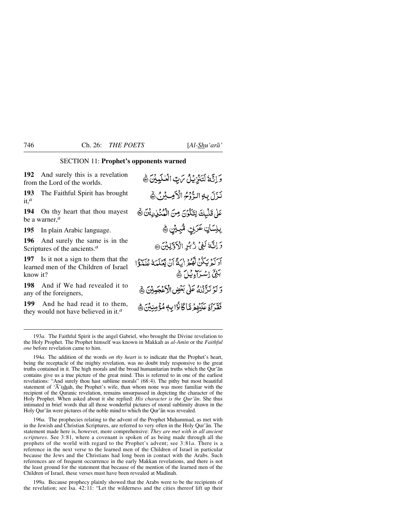## SECTION 11: **Prophet's opponents warned**

**192** And surely this is a revelation from the Lord of the worlds.

**193** The Faithful Spirit has brought it,*<sup>a</sup>*

**194** On thy heart that thou mayest be a warner,*<sup>a</sup>*

**195** In plain Arabic language.

**196** And surely the same is in the Scriptures of the ancients.*<sup>a</sup>*

**197** Is it not a sign to them that the learned men of the Children of Israel know it?

**198** And if We had revealed it to any of the foreigners,

**199** And he had read it to them, they would not have believed in it.*<sup>a</sup>*

وَإِنَّكَ لَتَنْزِيْلُ بِرَتِ الْعُلَيْبِيْنَ ﴾ نَزَلَ بِهِ الرُّوْمُ الْأَمِيشُ ﴾ عَلىٰ تَلْبِكَ لِتَكْوُنَ مِنَ الْمُنْذِرِيْنَ ﴾ رِبِلِسَانٍ عَرَبِيِّ مُّبِيَّنٍ ﴾ وَ إِنَّهُ لَفِيٌّ رُبُّرِ الْأَوَّلِيْنَ @ أَدَيْهُ بِبَكْنُ لَهُمْ إِنَّةً أَنْ تَعْلَمَهُ عُلَيْكًا بَنِيٍّ اِسْتِرَاءِ بِيْلَ هَ وَ لَوْ نَزَّلْنَهُ عَلَىٰ بَعْضِ الْأَغْجَبِينَ ﴾ فَقَرَآهُ عَلَيْهِمْ مَّا كَانْزَابِ مُؤْمِنِينَ ﴾

194*a.* The addition of the words *on thy heart* is to indicate that the Prophet's heart, being the receptacle of the mighty revelation, was no doubt truly responsive to the great truths contained in it. The high morals and the broad humanitarian truths which the Qur'ån contains give us a true picture of the great mind. This is referred to in one of the earliest revelations: "And surely thou hast sublime morals" (68:4). The pithy but most beautiful statement of ' $\overline{A}$ 'ishah, the Prophet's wife, than whom none was more familiar with the recipient of the Quranic revelation, remains unsurpassed in depicting the character of the Holy Prophet. When asked about it she replied: *His character is the Qur'ån*. She thus intimated in brief words that all those wonderful pictures of moral sublimity drawn in the Holy Qur'ån were pictures of the noble mind to which the Qur'ån was revealed.

196*a*. The prophecies relating to the advent of the Prophet Muhammad, as met with in the Jewish and Christian Scriptures, are referred to very often in the Holy Qur'ån. The statement made here is, however, more comprehensive: *They are met with in all ancient scriptures*. See 3:81, where a covenant is spoken of as being made through all the prophets of the world with regard to the Prophet's advent; see 3:81*a*. There is a reference in the next verse to the learned men of the Children of Israel in particular because the Jews and the Christians had long been in contact with the Arabs. Such references are of frequent occurrence in the early Makkan revelations, and there is not the least ground for the statement that because of the mention of the learned men of the Children of Israel, these verses must have been revealed at Madinah.

199*a.* Because prophecy plainly showed that the Arabs were to be the recipients of the revelation; see Isa. 42:11: "Let the wilderness and the cities thereof lift up their

<sup>193</sup>*a.* The Faithful Spirit is the angel Gabriel, who brought the Divine revelation to the Holy Prophet. The Prophet himself was known in Makkah as *al-Amßn* or the *Faithful one* before revelation came to him.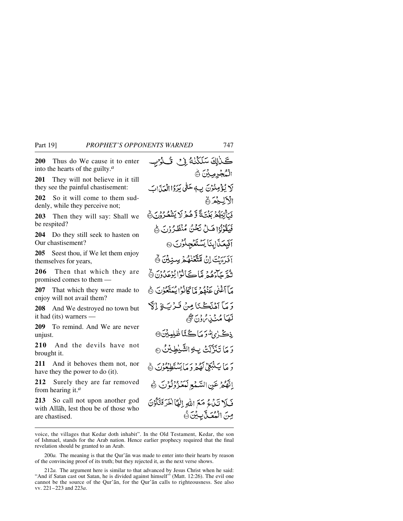**200** Thus do We cause it to enter into the hearts of the guilty.*<sup>a</sup>*

**201** They will not believe in it till they see the painful chastisement:

**202** So it will come to them suddenly, while they perceive not;

**203** Then they will say: Shall we be respited?

**204** Do they still seek to hasten on Our chastisement?

**205** Seest thou, if We let them enjoy themselves for years,

**206** Then that which they are promised comes to them —

**207** That which they were made to enjoy will not avail them?

**208** And We destroyed no town but it had (its) warners —

**209** To remind. And We are never unjust.

**210** And the devils have not brought it.

**211** And it behoves them not, nor have they the power to do (it).

**212** Surely they are far removed from hearing it.*<sup>a</sup>*

**213** So call not upon another god with Allåh, lest thou be of those who are chastised.

كَلَّالِكَ سَلَكْنَكُ فِي تُكْوُيب الْمُجْرِمِيْنَ ۞ لَا يُؤْمِنُوْنَ بِ4حَلَّى يَرَوُا الْعَذَاتِ الكليمة فَيَأْتِيَهُمْ بَغْتَةً وَّهُمْ لَا يَشْعُدُونَ ۞ فَيَقْوَلُوْا هَيْلُ نَحْنُ مُنْظَيْرُوْنَ ﴾ آَيَبِعَنَاابِنَا يَسْتَعْجِلُوْنَ @ افْرَءَيْتَ إِنْ مُتَّقَنْهُمْ سِنِيْنَ ۞ ثَدَّةً جَآءَهُمْ مَّاڪَأَنُوا يُوعَدُونَ ۞ مَأَأَغْنَى عَنْقُهُ مَّا كَانُوْا يُبَتَّعُوْنَ ﴾ دَ مَآ أَهۡلَڪُنَا مِنۡ قَبِرۡ بِ لَهِ ۚ إِنَّ لَعَبَا مُنۡبُونَ ﷺ ذڪُرٰيَّةُ رَمَاڪَٽَاظْلِمِينَ۞ وَ مَا تَنَدَّلَتْ بِ4ِ الشَّبْطِيْنُ ۞ دَ مَا پَشْبَغِيۡ لَهُمۡ وَ مَا يَسۡنَطِيۡعُوۡنَ ﴾ الْهُمُرْ عَنِ السَّبْعِ لَمَعْزُوْلُوْنَ ﴾ فَبِلا تَدَاءُ مَعَ اللهِ اللهَا الْخَرَفَتَكُوْنَ مِنَ الْمُعَـٰلِّيلِيْنَ ﴾

voice, the villages that Kedar doth inhabit". In the Old Testament, Kedar, the son of Ishmael, stands for the Arab nation. Hence earlier prophecy required that the final revelation should be granted to an Arab.

<sup>200</sup>*a.* The meaning is that the Qur'ån was made to enter into their hearts by reason of the convincing proof of its truth; but they rejected it, as the next verse shows.

<sup>212</sup>*a.* The argument here is similar to that advanced by Jesus Christ when he said: "And if Satan cast out Satan, he is divided against himself" (Matt. 12:26). The evil one cannot be the source of the Qur'ån, for the Qur'ån calls to righteousness. See also vv. 221–223 and 223*a*.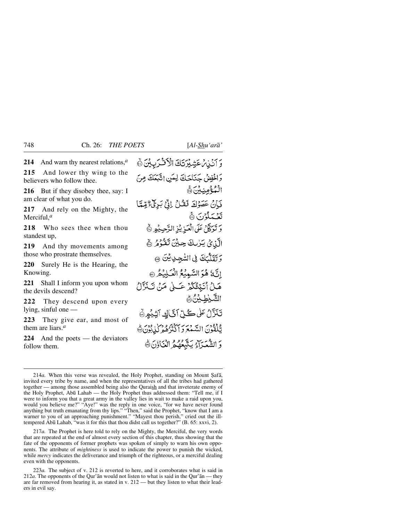**214** And warn thy nearest relations,*<sup>a</sup>*

**215** And lower thy wing to the believers who follow thee.

**216** But if they disobey thee, say: I am clear of what you do.

**217** And rely on the Mighty, the Merciful,*<sup>a</sup>*

**218** Who sees thee when thou standest up,

**219** And thy movements among those who prostrate themselves.

**220** Surely He is the Hearing, the Knowing.

**221** Shall I inform you upon whom the devils descend?

**222** They descend upon every lying, sinful one —

**223** They give ear, and most of them are liars.*<sup>a</sup>*

**224** And the poets — the deviators follow them.

وَ آَنَيْنِ مَشِيْرَتَكَ الْأَفْرَبِيْنَ ﴾ وَالْحُفِضْ حَنَاجَكَ لِعَيْنِ اتَّبَعَكَ مِنَ الْمُؤْمِنِيْنَ ۞ فَانْ عَصَوْكَ فَقُلْ إِذْ بَرِيٌّ قِيمًا تَعْمَلُوْنَ ﴾ دَ نَدَكَّلْ عَلَى الْعَبْدِيْنِهِ الرَّحِيفِيرِ ۞ الَّذِينَ يَرْبِكَ حِينَ تَقْرُمُ ﴾ وَتَقَلَّكَ فِي السَّجِدِيْنَ ۞ الَّهُ هُوَ السَّمِيْعُ الْعَلِيْمُ ® هَـٰلُ أَنَبِّئُكُمْ عَـٰلَىٰ مَنْ تَـٰذَّلُ الشَّيْطِيْنُ﴾ تَنَزَّلُ عَلَى كُلِّ آنَّاكٍ آتِيُوِ ۞ لِّلْقُوْنَ السَّمْعَ وَ آَكْتُرْهُمْ كُذِيوْنَ ﴾ وَ الشَّعَدَآءُ يَتَّبَعُهُمُ الْعَاذِنَ®َ

217*a.* The Prophet is here told to rely on the Mighty, the Merciful, the very words that are repeated at the end of almost every section of this chapter, thus showing that the fate of the opponents of former prophets was spoken of simply to warn his own opponents. The attribute of *mightiness* is used to indicate the power to punish the wicked, while *mercy* indicates the deliverance and triumph of the righteous, or a merciful dealing even with the opponents.

<sup>214</sup>*a*. When this verse was revealed, the Holy Prophet, standing on Mount Şafā, invited every tribe by name, and when the representatives of all the tribes had gathered together — among those assembled being also the Quraish and that inveterate enemy of the Holy Prophet, Ab∂ Lahab — the Holy Prophet thus addressed them: "Tell me, if I were to inform you that a great army in the valley lies in wait to make a raid upon you, would you believe me?" "Aye!" was the reply in one voice, "for we have never found anything but truth emanating from thy lips." "Then," said the Prophet, "know that I am a warner to you of an approaching punishment." "Mayest thou perish," cried out the illtempered Ab∂ Lahab, "was it for this that thou didst call us together?" (B. 65: xxvi, 2).

<sup>223</sup>*a.* The subject of v. 212 is reverted to here, and it corroborates what is said in  $212a$ . The opponents of the Qur'an would not listen to what is said in the Qur'an — they are far removed from hearing it, as stated in v. 212 — but they listen to what their leaders in evil say.